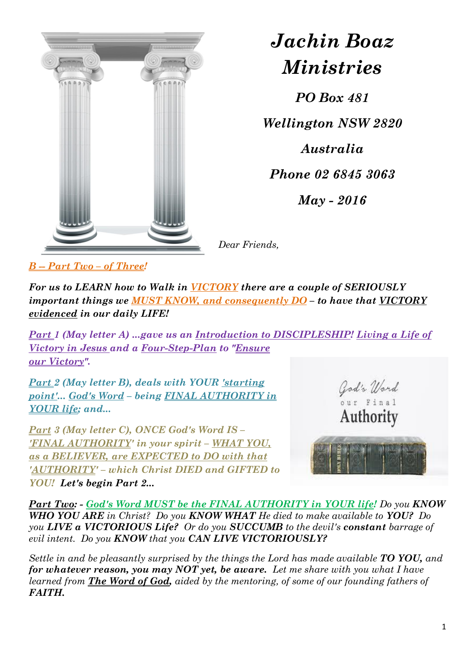

*Jachin Boaz Ministries*

*PO Box 481 Wellington NSW 2820 Australia Phone 02 6845 3063 May - 2016*

*Dear Friends,*

*B -- Part Two – of Three!*

*For us to LEARN how to Walk in VICTORY there are a couple of SERIOUSLY important things we MUST KNOW, and consequently DO – to have that VICTORY evidenced in our daily LIFE!* 

*Part 1 (May letter A) ...gave us an Introduction to DISCIPLESHIP! Living a Life of Victory in Jesus and a Four-Step-Plan to "Ensure our Victory".* 

*Part 2 (May letter B), deals with YOUR 'starting point'... God's Word – being FINAL AUTHORITY in YOUR life; and...* 

*Part 3 (May letter C), ONCE God's Word IS – 'FINAL AUTHORITY' in your spirit – WHAT YOU, as a BELIEVER, are EXPECTED to DO with that 'AUTHORITY' – which Christ DIED and GIFTED to YOU! Let's begin Part 2...*



*Part Two: - God's Word MUST be the FINAL AUTHORITY in YOUR life! Do you KNOW WHO YOU ARE in Christ? Do you KNOW WHAT He died to make available to YOU? Do you LIVE a VICTORIOUS Life? Or do you SUCCUMB to the devil's constant barrage of evil intent. Do you KNOW that you CAN LIVE VICTORIOUSLY?*

*Settle in and be pleasantly surprised by the things the Lord has made available TO YOU, and for whatever reason, you may NOT yet, be aware. Let me share with you what I have learned from The Word of God, aided by the mentoring, of some of our founding fathers of FAITH.*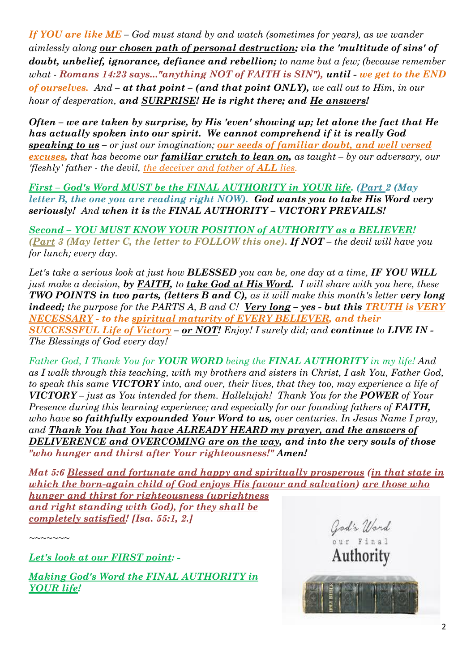*If YOU are like ME – God must stand by and watch (sometimes for years), as we wander aimlessly along our chosen path of personal destruction; via the 'multitude of sins' of doubt, unbelief, ignorance, defiance and rebellion; to name but a few; (because remember what - Romans 14:23 says..."anything NOT of FAITH is SIN"), until - we get to the END of ourselves. And – at that point – (and that point ONLY), we call out to Him, in our hour of desperation, and SURPRISE! He is right there; and He answers!* 

*Often – we are taken by surprise, by His 'even' showing up; let alone the fact that He has actually spoken into our spirit. We cannot comprehend if it is really God speaking to us – or just our imagination; our seeds of familiar doubt, and well versed excuses, that has become our familiar crutch to lean on, as taught – by our adversary, our 'fleshly' father - the devil, the deceiver and father of ALL lies.* 

*First – God's Word MUST be the FINAL AUTHORITY in YOUR life. (Part 2 (May letter B, the one you are reading right NOW). God wants you to take His Word very seriously! And when it is the FINAL AUTHORITY – VICTORY PREVAILS!*

*Second – YOU MUST KNOW YOUR POSITION of AUTHORITY as a BELIEVER! (Part 3 (May letter C, the letter to FOLLOW this one). If NOT – the devil will have you for lunch; every day.* 

*Let's take a serious look at just how BLESSED you can be, one day at a time, IF YOU WILL just make a decision, by FAITH, to take God at His Word. I will share with you here, these TWO POINTS in two parts, (letters B and C), as it will make this month's letter very long indeed; the purpose for the PARTS A, B and C! Very long – yes - but this TRUTH is VERY NECESSARY - to the spiritual maturity of EVERY BELIEVER, and their SUCCESSFUL Life of Victory – or NOT! Enjoy! I surely did; and continue to LIVE IN - The Blessings of God every day!*

*Father God, I Thank You for YOUR WORD being the FINAL AUTHORITY in my life! And as I walk through this teaching, with my brothers and sisters in Christ, I ask You, Father God, to speak this same VICTORY into, and over, their lives, that they too, may experience a life of VICTORY – just as You intended for them. Hallelujah! Thank You for the POWER of Your Presence during this learning experience; and especially for our founding fathers of FAITH, who have so faithfully expounded Your Word to us, over centuries. In Jesus Name I pray, and Thank You that You have ALREADY HEARD my prayer, and the answers of DELIVERENCE and OVERCOMING are on the way, and into the very souls of those "who hunger and thirst after Your righteousness!" Amen!*

*Mat 5:6 Blessed and fortunate and happy and spiritually prosperous (in that state in which the born-again child of God enjoys His favour and salvation) are those who hunger and thirst for righteousness (uprightness and right standing with God), for they shall be completely satisfied! [Isa. 55:1, 2.]*

*~~~~~~~*

*Let's look at our FIRST point: -*

*Making God's Word the FINAL AUTHORITY in YOUR life!*

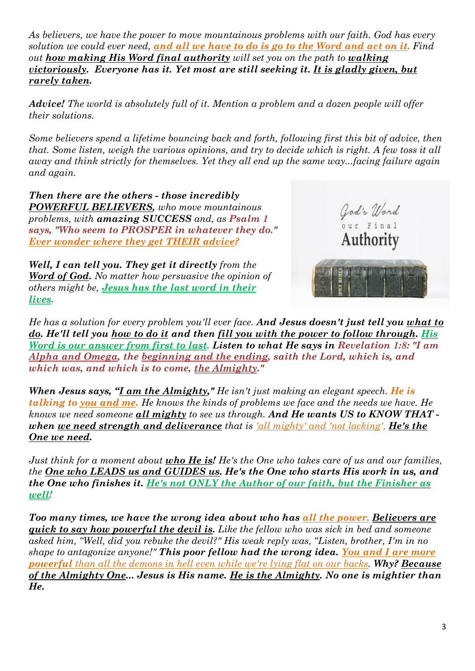*As believers, we have the power to move mountainous problems with our faith. God has every solution we could ever need, and all we have to do is go to the Word and act on it. Find out how making His Word final authority will set you on the path to walking victoriously. Everyone has it. Yet most are still seeking it. It is gladly given, but rarely taken.*

*Advice! The world is absolutely full of it. Mention a problem and a dozen people will offer their solutions.*

*Some believers spend a lifetime bouncing back and forth, following first this bit of advice, then that. Some listen, weigh the various opinions, and try to decide which is right. A few toss it all away and think strictly for themselves. Yet they all end up the same way...facing failure again and again.*

*Then there are the others - those incredibly POWERFUL BELIEVERS, who move mountainous problems, with amazing SUCCESS and, as Psalm 1 says, "Who seem to PROSPER in whatever they do." Ever wonder where they get THEIR advice?*

*Well, I can tell you. They get it directly from the Word of God. No matter how persuasive the opinion of others might be, Jesus has the last word in their lives.*



*He has a solution for every problem you'll ever face. And Jesus doesn't just tell you what to do. He'll tell you how to do it and then fill you with the power to follow through. His Word is our answer from first to last. Listen to what He says in Revelation 1:8: "I am Alpha and Omega, the beginning and the ending, saith the Lord, which is, and which was, and which is to come, the Almighty."*

*When Jesus says, "I am the Almighty," He isn't just making an elegant speech. He is talking to you and me. He knows the kinds of problems we face and the needs we have. He knows we need someone all mighty to see us through. And He wants US to KNOW THAT when we need strength and deliverance that is 'all mighty' and 'not lacking', He's the One we need.*

*Just think for a moment about who He is! He's the One who takes care of us and our families, the One who LEADS us and GUIDES us. He's the One who starts His work in us, and the One who finishes it. He's not ONLY the Author of our faith, but the Finisher as well!*

*Too many times, we have the wrong idea about who has all the power. Believers are quick to say how powerful the devil is. Like the fellow who was sick in bed and someone asked him, "Well, did you rebuke the devil?" His weak reply was, "Listen, brother, I'm in no shape to antagonize anyone!" This poor fellow had the wrong idea. You and I are more powerful than all the demons in hell even while we're lying flat on our backs. Why? Because of the Almighty One... Jesus is His name. He is the Almighty. No one is mightier than He.*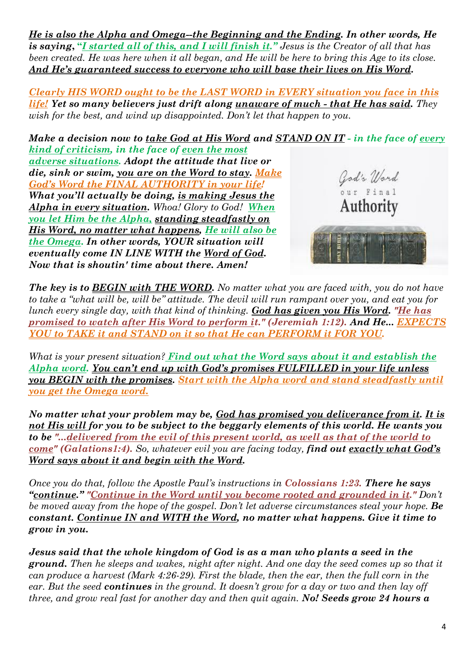*He is also the Alpha and Omega--the Beginning and the Ending. In other words, He is saying***, "***I started all of this, and I will finish it." Jesus is the Creator of all that has been created. He was here when it all began, and He will be here to bring this Age to its close. And He's guaranteed success to everyone who will base their lives on His Word.*

*Clearly HIS WORD ought to be the LAST WORD in EVERY situation you face in this life! Yet so many believers just drift along unaware of much - that He has said. They wish for the best, and wind up disappointed. Don't let that happen to you.*

*Make a decision now to take God at His Word and STAND ON IT - in the face of every kind of criticism, in the face of even the most* 

*adverse situations. Adopt the attitude that live or die, sink or swim, you are on the Word to stay. Make God's Word the FINAL AUTHORITY in your life! What you'll actually be doing, is making Jesus the Alpha in every situation. Whoa! Glory to God! When you let Him be the Alpha, standing steadfastly on His Word, no matter what happens, He will also be the Omega. In other words, YOUR situation will eventually come IN LINE WITH the Word of God. Now that is shoutin' time about there. Amen!*



*The key is to BEGIN with THE WORD. No matter what you are faced with, you do not have to take a "what will be, will be" attitude. The devil will run rampant over you, and eat you for lunch every single day, with that kind of thinking. God has given you His Word. "He has promised to watch after His Word to perform it." (Jeremiah 1:12). And He... EXPECTS YOU to TAKE it and STAND on it so that He can PERFORM it FOR YOU.*

*What is your present situation? Find out what the Word says about it and establish the Alpha word. You can't end up with God's promises FULFILLED in your life unless you BEGIN with the promises. Start with the Alpha word and stand steadfastly until you get the Omega word.*

*No matter what your problem may be, God has promised you deliverance from it. It is not His will for you to be subject to the beggarly elements of this world. He wants you to be "...delivered from the evil of this present world, as well as that of the world to come" (Galations1:4). So, whatever evil you are facing today, find out exactly what God's Word says about it and begin with the Word.*

*Once you do that, follow the Apostle Paul's instructions in Colossians 1:23. There he says "continue." "Continue in the Word until you become rooted and grounded in it." Don't be moved away from the hope of the gospel. Don't let adverse circumstances steal your hope. Be constant. Continue IN and WITH the Word, no matter what happens. Give it time to grow in you.*

*Jesus said that the whole kingdom of God is as a man who plants a seed in the ground. Then he sleeps and wakes, night after night. And one day the seed comes up so that it can produce a harvest (Mark 4:26-29). First the blade, then the ear, then the full corn in the ear. But the seed continues in the ground. It doesn't grow for a day or two and then lay off three, and grow real fast for another day and then quit again. No! Seeds grow 24 hours a*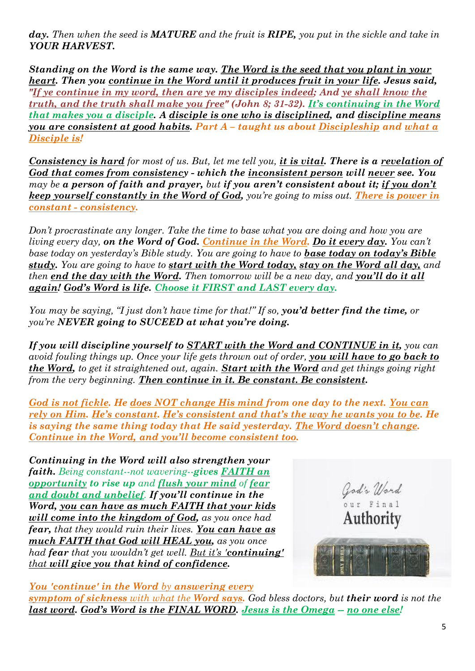*day. Then when the seed is MATURE and the fruit is RIPE, you put in the sickle and take in YOUR HARVEST.*

*Standing on the Word is the same way. The Word is the seed that you plant in your heart. Then you continue in the Word until it produces fruit in your life. Jesus said, "If ye continue in my word, then are ye my disciples indeed; And ye shall know the truth, and the truth shall make you free" (John 8; 31-32). It's continuing in the Word that makes you a disciple. A disciple is one who is disciplined, and discipline means you are consistent at good habits. Part A – taught us about Discipleship and what a Disciple is!*

*Consistency is hard for most of us. But, let me tell you, it is vital. There is a revelation of God that comes from consistency - which the inconsistent person will never see. You may be a person of faith and prayer, but if you aren't consistent about it; if you don't keep yourself constantly in the Word of God, you're going to miss out. There is power in constant - consistency.*

*Don't procrastinate any longer. Take the time to base what you are doing and how you are living every day, on the Word of God. Continue in the Word. Do it every day. You can't base today on yesterday's Bible study. You are going to have to base today on today's Bible study. You are going to have to start with the Word today, stay on the Word all day, and then end the day with the Word. Then tomorrow will be a new day, and you'll do it all again! God's Word is life. Choose it FIRST and LAST every day.*

*You may be saying, "I just don't have time for that!" If so, you'd better find the time, or you're NEVER going to SUCEED at what you're doing.*

*If you will discipline yourself to START with the Word and CONTINUE in it, you can avoid fouling things up. Once your life gets thrown out of order, you will have to go back to the Word, to get it straightened out, again. Start with the Word and get things going right from the very beginning. Then continue in it. Be constant. Be consistent.*

*God is not fickle. He does NOT change His mind from one day to the next. You can rely on Him. He's constant. He's consistent and that's the way he wants you to be. He is saying the same thing today that He said yesterday. The Word doesn't change. Continue in the Word, and you'll become consistent too.*

*Continuing in the Word will also strengthen your faith. Being constant--not wavering--gives FAITH an opportunity to rise up and flush your mind of fear and doubt and unbelief. If you'll continue in the Word, you can have as much FAITH that your kids will come into the kingdom of God, as you once had fear, that they would ruin their lives. You can have as much FAITH that God will HEAL you, as you once had fear that you wouldn't get well. But it's 'continuing' that will give you that kind of confidence.*



*You 'continue' in the Word by answering every* 

*symptom of sickness with what the Word says. God bless doctors, but their word is not the last word. God's Word is the FINAL WORD. Jesus is the Omega -- no one else!*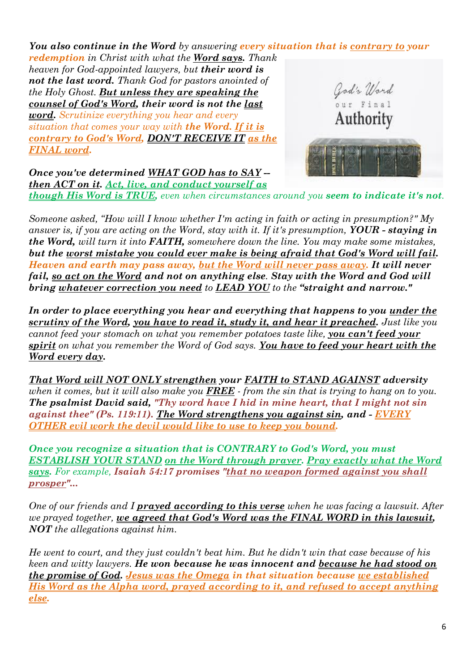*You also continue in the Word by answering every situation that is contrary to your redemption in Christ with what the Word says. Thank heaven for God-appointed lawyers, but their word is not the last word. Thank God for pastors anointed of*  God's Word<br>
our Final<br>
Authority *the Holy Ghost. But unless they are speaking the counsel of God's Word, their word is not the last word. Scrutinize everything you hear and every situation that comes your way with the Word. If it is contrary to God's Word, DON'T RECEIVE IT as the FINAL word.*

*Once you've determined WHAT GOD has to SAY - then ACT on it. Act, live, and conduct yourself as though His Word is TRUE, even when circumstances around you seem to indicate it's not.*



*Someone asked, "How will I know whether I'm acting in faith or acting in presumption?" My answer is, if you are acting on the Word, stay with it. If it's presumption, YOUR - staying in the Word, will turn it into FAITH, somewhere down the line. You may make some mistakes, but the worst mistake you could ever make is being afraid that God's Word will fail. Heaven and earth may pass away, but the Word will never pass away. It will never fail, so act on the Word and not on anything else. Stay with the Word and God will bring whatever correction you need to LEAD YOU to the "straight and narrow."*

*In order to place everything you hear and everything that happens to you under the scrutiny of the Word, you have to read it, study it, and hear it preached. Just like you cannot feed your stomach on what you remember potatoes taste like, you can't feed your spirit on what you remember the Word of God says. You have to feed your heart with the Word every day.*

*That Word will NOT ONLY strengthen your FAITH to STAND AGAINST adversity when it comes, but it will also make you FREE - from the sin that is trying to hang on to you. The psalmist David said, "Thy word have I hid in mine heart, that I might not sin against thee" (Ps. 119:11). The Word strengthens you against sin, and - EVERY OTHER evil work the devil would like to use to keep you bound.*

*Once you recognize a situation that is CONTRARY to God's Word, you must ESTABLISH YOUR STAND on the Word through prayer. Pray exactly what the Word says. For example, Isaiah 54:17 promises "that no weapon formed against you shall prosper"...*

*One of our friends and I prayed according to this verse when he was facing a lawsuit. After we prayed together, we agreed that God's Word was the FINAL WORD in this lawsuit, NOT the allegations against him.*

*He went to court, and they just couldn't beat him. But he didn't win that case because of his keen and witty lawyers. He won because he was innocent and because he had stood on the promise of God. Jesus was the Omega in that situation because we established His Word as the Alpha word, prayed according to it, and refused to accept anything else.*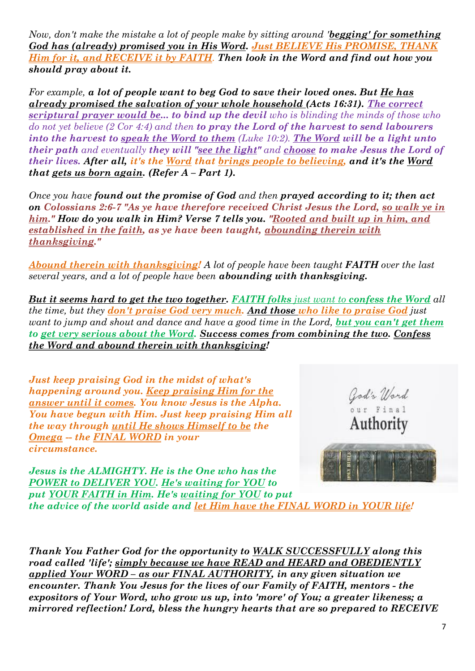*Now, don't make the mistake a lot of people make by sitting around 'begging' for something God has (already) promised you in His Word. Just BELIEVE His PROMISE, THANK Him for it, and RECEIVE it by FAITH. Then look in the Word and find out how you should pray about it.*

*For example, a lot of people want to beg God to save their loved ones. But He has already promised the salvation of your whole household (Acts 16:31). The correct scriptural prayer would be... to bind up the devil who is blinding the minds of those who do not yet believe (2 Cor 4:4) and then to pray the Lord of the harvest to send labourers into the harvest to speak the Word to them (Luke 10:2). The Word will be a light unto their path and eventually they will "see the light" and choose to make Jesus the Lord of their lives. After all, it's the Word that brings people to believing, and it's the Word that gets us born again. (Refer A – Part 1).* 

*Once you have found out the promise of God and then prayed according to it; then act on Colossians 2:6-7 "As ye have therefore received Christ Jesus the Lord, so walk ye in him." How do you walk in Him? Verse 7 tells you. "Rooted and built up in him, and established in the faith, as ye have been taught, abounding therein with thanksgiving."*

*Abound therein with thanksgiving! A lot of people have been taught FAITH over the last several years, and a lot of people have been abounding with thanksgiving.*

*But it seems hard to get the two together. FAITH folks just want to confess the Word all the time, but they don't praise God very much. And those who like to praise God just want to jump and shout and dance and have a good time in the Lord, but you can't get them to get very serious about the Word. Success comes from combining the two. Confess the Word and abound therein with thanksgiving!*

*Just keep praising God in the midst of what's happening around you. Keep praising Him for the answer until it comes. You know Jesus is the Alpha. You have begun with Him. Just keep praising Him all the way through until He shows Himself to be the Omega -- the FINAL WORD in your circumstance.* 



*Jesus is the ALMIGHTY. He is the One who has the POWER to DELIVER YOU. He's waiting for YOU to put YOUR FAITH in Him. He's waiting for YOU to put the advice of the world aside and let Him have the FINAL WORD in YOUR life!*

*Thank You Father God for the opportunity to WALK SUCCESSFULLY along this road called 'life'; simply because we have READ and HEARD and OBEDIENTLY applied Your WORD – as our FINAL AUTHORITY, in any given situation we encounter. Thank You Jesus for the lives of our Family of FAITH, mentors - the expositors of Your Word, who grow us up, into 'more' of You; a greater likeness; a mirrored reflection! Lord, bless the hungry hearts that are so prepared to RECEIVE*